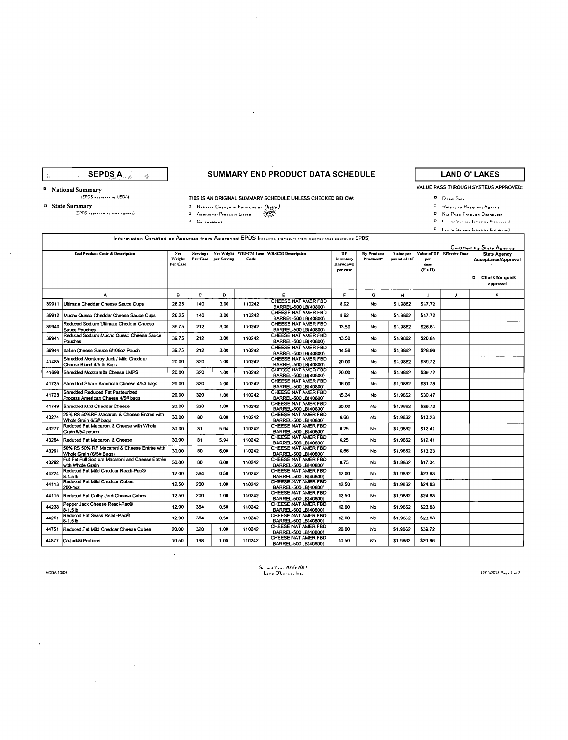SEPDS A  $\tilde{\psi}$ 

## SUMMARY END PRODUCT DATA SCHEDULE

# **LAND O' LAKES** VALUE PASS THROUGH SYSTEMS APPROVED:

<sup>2</sup> National Summary

 $\ddot{\phantom{a}}$ 

 ${EPOS \nightharpoonup \nightharpoonup}$  USDA} 5 State Summary

 $\begin{array}{c} \begin{array}{c} \text{[EPDS system]} \\ \text{[EPDS system]} \end{array} \end{array}$ 

THIS IS AN ORIGINAL SUMMARY SCHEDULE UNLESS CHECKED BELOW:

 $\bar{\mathcal{A}}$ 

**O.** Reflects Change in Formulation (Aeffo)<br>O. Additional Products Listed (AEFF)<br>Additional Products Listed (APF)

 $\ddot{\phantom{a}}$ 

 $\mathcal{L}^{\text{max}}_{\text{max}}$ 

 $\mathcal{A}^{\pm}$ 

**B** Return to Recipient Agency 

 $\overline{\mathbf{p}}$  . Direct Sale

 $\mathbf{D} = \left\{ \begin{array}{l} 1 & \text{if } \mathbf{c}_1 \in \mathbb{R}^d \text{ and } \mathbf{c}_2 \in \mathbb{R}^d \text{ and } \mathbf{c}_3 \in \mathbb{R}^d \text{ and } \mathbf{c}_4 \in \mathbb{R}^d \text{ and } \mathbf{c}_5 \in \mathbb{R}^d \text{ and } \mathbf{c}_6 \in \mathbb{R}^d \text{ and } \mathbf{c}_7 \in \mathbb{R}^d \text{ and } \mathbf{c}_7 \in \mathbb{R}^d \text{ and } \mathbf{c}_8 \in \mathbb{R}^d \$ 

 $\overline{\mathbf{u}} = \left\{ \begin{smallmatrix} 1 & 0 & 0 \\ 0 & 0 & 0 \end{smallmatrix} \right. \times \left\{ \begin{smallmatrix} 0 & 0 \\ 0 & 0 \end{smallmatrix} \right. \right. \left\{ \begin{smallmatrix} 0 & 0 \\ 0 & 0 \end{smallmatrix} \right. \right. \left\{ \begin{smallmatrix} 0 & 0 \\ 0 & 0 \end{smallmatrix} \right\} \left. \right.$ 

|       | Information Certified as Accurate from Approved EPDS (requires signature from agency that eporoved EPDS) |                           |          |                        |        |                                             |                                                |                          |                          |                                              | Cartified by State Agency |                                                                                             |
|-------|----------------------------------------------------------------------------------------------------------|---------------------------|----------|------------------------|--------|---------------------------------------------|------------------------------------------------|--------------------------|--------------------------|----------------------------------------------|---------------------------|---------------------------------------------------------------------------------------------|
|       | End Product Code & Description                                                                           | Net<br>Weight<br>Per Case | Servings | Per Case   per Serving | Code   | Net Weight WBSCM Item WBSCM Description     | DF<br>Inventory<br><b>Drawdown</b><br>per case | By Products<br>Produced* | Value per<br>pound of DF | Value of DF<br>per<br>$_{\rm casc}$<br>(F I) | <b>Effective Date</b>     | <b>State Agency</b><br>Acceptance/Approval<br>Check for quick<br>$\blacksquare$<br>approval |
|       | А                                                                                                        | в                         | c        | D                      |        | E.                                          | F                                              | G                        | н                        | $\mathbf{I}$                                 | J                         | κ                                                                                           |
| 39911 | Ultimate Cheddar Cheese Sauce Cups                                                                       | 26.25                     | 140      | 3.00                   | 110242 | CHEESE NAT AMER FBD<br>BARREL-500 LB(40800) | 8.92                                           | No                       | \$1,9862                 | \$17.72                                      |                           |                                                                                             |
|       | 39912 Mucho Queso Cheddar Cheese Sauce Cups                                                              | 26.25                     | 140      | 3.00                   | 110242 | CHEESE NAT AMER FBD<br>BARREL-500 LB/40800) | 8.92                                           | No                       | \$1,9862                 | \$17.72                                      |                           |                                                                                             |
| 39940 | Reduced Sodium Ultimate Cheddar Cheese<br>Sauce Pouches                                                  | 39.75                     | 212      | 3.00                   | 110242 | CHEESE NAT AMER FBD<br>BARREL-500 LB(40800) | 13.50                                          | No                       | \$1.9862                 | \$26.81                                      |                           |                                                                                             |
| 39941 | Reduced Sodium Mucho Queso Cheese Sauce<br>Pouches                                                       | 39.75                     | 212      | 3.00                   | 110242 | CHEESE NAT AMER FBD<br>BARREL-500 LB(40800) | 13.50                                          | No                       | \$1.9862                 | \$26.81                                      |                           |                                                                                             |
| 39944 | Italian Cheese Sauce 6/106oz Pouch                                                                       | 39.75                     | 212      | 3.00                   | 110242 | CHEESE NAT AMER FBD<br>BARREL-500 LB(40800) | 14.58                                          | No                       | \$1,9862                 | \$28.96                                      |                           |                                                                                             |
| 41485 | Shredded Monterey Jack / Mild Cheddar<br>Cheese Blend 4/5 lb Bags                                        | 20.00                     | 320      | 1.00                   | 110242 | CHEESE NAT AMER FBD<br>BARREL-500 LB(40800) | 20.00                                          | No                       | \$1,9862                 | \$39.72                                      |                           |                                                                                             |
| 41698 | Shredded Mozzarella Cheese LMPS                                                                          | 20.00                     | 320      | 1.00                   | 110242 | CHEESE NAT AMER FBD<br>BARREL-500 LB(40800) | 20.00                                          | No                       | \$1.9862                 | \$39.72                                      |                           |                                                                                             |
| 41725 | Shredded Sharp American Cheese 4/5# bags                                                                 | 20.00                     | 320      | 1.00                   | 110242 | CHEESE NAT AMER FBD<br>BARREL-500 LB/40800) | 16.00                                          | No                       | \$1,9862                 | \$31.78                                      |                           |                                                                                             |
| 41728 | Shredded Reduced Fat Pasteurized<br>Process American Cheese 4/5# bags                                    | 20.00                     | 320      | 1.00                   | 110242 | CHEESE NAT AMER FBD<br>BARREL-500 LB(40800) | 15.34                                          | No                       | \$1,9862                 | \$30.47                                      |                           |                                                                                             |
| 41749 | Shredded Mild Cheddar Cheese                                                                             | 20.00                     | 320      | 1.00                   | 110242 | CHEESE NAT AMER FBD<br>BARREL-500 LB(40800) | 20.00                                          | No                       | \$1,9862                 | \$39.72                                      |                           |                                                                                             |
| 43274 | 25% RS 50%RF Macaroni & Cheese Entrée with<br>Whole Grain 6/5# bags                                      | 30.00                     | 80       | 6.00                   | 110242 | CHEESE NAT AMER FBD<br>BARREL-500 LB(40800) | 6.66                                           | No                       | \$1,9862                 | \$13.23                                      |                           |                                                                                             |
| 43277 | Reduced Fat Macaroni & Cheese with Whole<br>Grain 6/5# pouch                                             | 30.00                     | 81       | 5.94                   | 110242 | CHEESE NAT AMER FBD<br>BARREL-500 LB(40800) | 6.25                                           | No                       | \$1,9862                 | \$12.41                                      |                           |                                                                                             |
| 43284 | Reduced Fat Macaroni & Cheese                                                                            | 30.00                     | 81       | 5.94                   | 110242 | CHEESE NAT AMER FBD<br>BARREL-500 LB(40800) | 6.25                                           | No                       | \$1,9862                 | \$12.41                                      |                           |                                                                                             |
| 43291 | 50% RS 50% RF Macaroni & Cheese Entree with<br>Whole Grain (6/5# Bags)                                   | 30.00                     | 80       | 6.00                   | 110242 | CHEESE NAT AMER FBD<br>BARREL-500 LB(40800) | 6.66                                           | No                       | \$1,9862                 | \$13.23                                      |                           |                                                                                             |
| 43292 | Full Fat Full Sodium Macaroni and Cheese Entrée<br>with Whole Grain                                      | 30.00                     | 80       | 6.00                   | 110242 | CHEESE NAT AMER FBD<br>BARREL-500 LB(40800) | 8.73                                           | No                       | \$1,9862                 | \$17.34                                      |                           |                                                                                             |
| 44224 | Reduced Fat Mild Cheddar Readi-Pac®<br>$8-1.5b$                                                          | 12.00                     | 384      | 0.50                   | 110242 | CHEESE NAT AMER FBD<br>BARREL-500 LB(40800) | 12.00                                          | No                       | \$1,9862                 | \$23.83                                      |                           |                                                                                             |
| 44113 | Reduced Fat Mild Cheddar Cubes<br>200-1oz                                                                | 12.50                     | 200      | 1.00                   | 110242 | CHEESE NAT AMER FBD<br>BARREL-500 LB/40800) | 12.50                                          | No                       | \$1,9862                 | \$24.83                                      |                           |                                                                                             |
| 44115 | Reduced Fat Colby Jack Cheese Cubes                                                                      | 12.50                     | 200      | 1.00                   | 110242 | CHEESE NAT AMER FBD<br>BARREL-500 LB/40800) | 12.50                                          | No                       | \$1,9862                 | \$24.83                                      |                           |                                                                                             |
| 44238 | Pepper Jack Cheese Readi-Pac®<br>81.5 <sub>b</sub>                                                       | 12.00                     | 384      | 0.50                   | 110242 | CHEESE NAT AMER FBD<br>BARREL-500 LB/40800) | 12.00                                          | No                       | \$1,9862                 | \$23.83                                      |                           |                                                                                             |
| 44261 | Reduced Fat Swiss Readi-Pac®<br>$B - 1.5B$                                                               | 12.00                     | 384      | 0.50                   | 110242 | CHEESE NAT AMER FBD<br>BARREL-500 LB/40800) | 12.00                                          | No                       | \$1.9862                 | \$23.83                                      |                           |                                                                                             |
| 44751 | Reduced Fat Mid Cheddar Cheese Cubes                                                                     | 20.00                     | 320      | 1.00                   | 110242 | CHEESE NAT AMER FBD<br>BARREL-500 LB(40800) | 20.00                                          | No                       | \$1.9862                 | \$39.72                                      |                           |                                                                                             |
| 44877 | CoJack® Portions                                                                                         | 10.50                     | 168      | 1.00                   | 110242 | CHEESE NAT AMER FBD<br>BARREL-500 LB(40800) | 10.50                                          | No                       | \$1.9862                 | \$20.86                                      |                           |                                                                                             |

ACDA 1004

 $\lambda$ 

School Year 2016-2017<br>Land O'Lasas, Inc.

 $12717/2015$   $9_{\bullet}$   $\bullet$   $1$   $\bullet$   $\circ$   $2$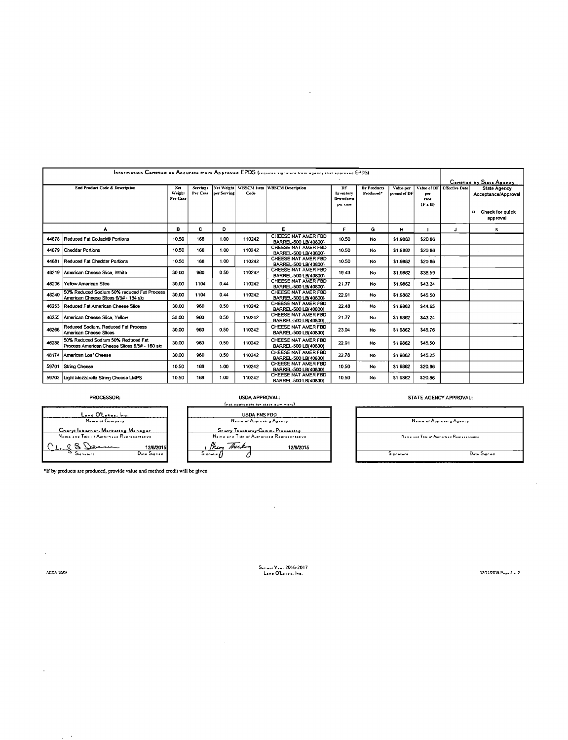|       |                                                                                     |                            |          |                                      |        | Information Certified as Accurate from Approved EPDS (requires signature from agency that approved EPDS) |                                                |                                 |                          |                                            |                           |                                                                    |  |  |
|-------|-------------------------------------------------------------------------------------|----------------------------|----------|--------------------------------------|--------|----------------------------------------------------------------------------------------------------------|------------------------------------------------|---------------------------------|--------------------------|--------------------------------------------|---------------------------|--------------------------------------------------------------------|--|--|
|       |                                                                                     |                            |          |                                      |        |                                                                                                          |                                                |                                 |                          |                                            | Certified by State Agency |                                                                    |  |  |
|       | <b>End Product Code &amp; Description</b>                                           | Net.<br>Weizht<br>Per Case | Servings | Net Weight<br>Per Case   per Serving | Code   | WBSCM Item WBSCM Description                                                                             | DF<br>Inventory<br><b>Drawdown</b><br>per case | <b>By Products</b><br>Produced* | Value per<br>pound of DF | Value of DF<br>per<br><b>CRSC</b><br>(F I) | <b>Effective Date</b>     | <b>State Agency</b><br>Acceptance/Approval<br>Check for guick<br>o |  |  |
|       |                                                                                     |                            |          |                                      |        |                                                                                                          |                                                |                                 |                          |                                            |                           | approval                                                           |  |  |
|       | А                                                                                   | в                          | С        | D                                    |        | Е                                                                                                        | F.                                             | G                               | н                        |                                            | J                         | к                                                                  |  |  |
| 44878 | Reduced Fat CoJack® Portions                                                        | 10.50                      | 168      | 1.00                                 | 110242 | CHEESE NAT AMER FBD<br>BARREL-500 LB/40800)                                                              | 10.50                                          | No                              | \$1,9862                 | \$20.86                                    |                           |                                                                    |  |  |
| 44879 | Cheddar Portions                                                                    | 10.50                      | 168      | 1.00                                 | 110242 | CHEESE NAT AMER FBD<br>BARREL-500 LB/40800)                                                              | 10.50                                          | No                              | \$1,9862                 | \$20.86                                    |                           |                                                                    |  |  |
| 44881 | Reduced Fat Cheddar Portions                                                        | 10.50                      | 168      | 1.00                                 | 110242 | CHEESE NAT AMER FBD<br>BARREL-500 LB/40800)                                                              | 10.50                                          | No                              | \$1.9862                 | \$20.86                                    |                           |                                                                    |  |  |
|       | 46219 American Cheese Slice, White                                                  | 30.00                      | 960      | 0.50                                 | 110242 | CHEESE NAT AMER FBD<br>BARREL-500 LB(40800)                                                              | 19.43                                          | No                              | \$1,9862                 | \$38.59                                    |                           |                                                                    |  |  |
| 46236 | Yellow American Slice                                                               | 30.00                      | 1104     | 0.44                                 | 110242 | CHEESE NAT AMER FBD<br>BARREL-500 LB(40800)                                                              | 21.77                                          | No                              | \$1,9862                 | \$43.24                                    |                           |                                                                    |  |  |
| 46240 | 50% Reduced Sodium 50% reduced Fat Process<br>American Cheese Slices 6/5# - 184 slc | 30.00                      | 1104     | 0.44                                 | 110242 | CHEESE NAT AMER FBD<br>BARREL-500 LB/408001                                                              | 22.91                                          | No                              | \$1,9862                 | \$45.50                                    |                           |                                                                    |  |  |
| 46253 | Reduced Fat American Cheese Stice                                                   | 30.00                      | 960      | 0.50                                 | 110242 | CHEESE NAT AMER FBD<br>BARREL-500 LB(40800)                                                              | 22.48                                          | No                              | \$1,9862                 | \$44.65                                    |                           |                                                                    |  |  |
| 46255 | American Cheese Slice, Yellow                                                       | 30.00                      | 960      | 0.50                                 | 110242 | CHEESE NAT AMER FBD<br>BARREL-500 LB(40800)                                                              | 21.77                                          | No                              | \$1,9862                 | \$43.24                                    |                           |                                                                    |  |  |
| 46268 | Reduced Sodium, Reduced Fat Process<br>American Cheese Stices                       | 30.00                      | 960      | 0.50                                 | 110242 | CHEESE NAT AMER FBD<br>BARREL-500 LB(40800)                                                              | 23.04                                          | No                              | \$1,9862                 | \$45.76                                    |                           |                                                                    |  |  |
| 46288 | 50% Reduced Sodium 50% Reduced Fat<br>Process American Cheese Slices 6/5# - 160 slc | 30.00                      | 960      | 0.50                                 | 110242 | CHEESE NAT AMER FBD<br>BARREL-500 LB(40800)                                                              | 22.91                                          | No                              | \$1,9862                 | \$45.50                                    |                           |                                                                    |  |  |
| 48174 | American Loaf Cheese                                                                | 30.00                      | 960      | 0.50                                 | 110242 | CHEESE NAT AMER FBD<br>BARREL-500 LB/408001                                                              | 22.78                                          | No                              | \$1,9862                 | \$45.25                                    |                           |                                                                    |  |  |
| 59701 | String Cheese                                                                       | 10.50                      | 168      | 1.00                                 | 110242 | CHEESE NAT AMER FBD<br>BARREL-500 LB(40800)                                                              | 10.50                                          | <b>No</b>                       | \$1,9862                 | \$20.86                                    |                           |                                                                    |  |  |
| 59703 | Light Mozzarella String Cheese LMPS                                                 | 10.50                      | 168      | 1.00                                 | 110242 | CHEESE NAT AMER FBD<br>BARREL-500 LB(40800)                                                              | 10.50                                          | No                              | \$1,9862                 | \$20.86                                    |                           |                                                                    |  |  |

 $\mathcal{L}^{\pm}$ 

### PROCESSOR:

<u>Land O'Lakes, Inc.</u><br>Name or Company <u>-<br>Charyl Isbarner, Merketing Meneger</u><br>Neme and Twe of Automasu Representative

#### USDA APPROVAL: frat applicable for state summary)

| <b>USDA FNS FDD</b>                         |           |
|---------------------------------------------|-----------|
| Neme of Approving Agency                    |           |
| Sherry Thackerey-Comm. Proseculing          |           |
| Name and Title of Authorized Representative |           |
| Someof Thecky                               | 12/9/2015 |
|                                             |           |

 $\sim 10$ 

### STATE AGENCY APPROVAL:

|            | Name of Approving Agency                   |
|------------|--------------------------------------------|
|            |                                            |
|            | Name and Tate of Authorized Representative |
| Signature. | Date Signed                                |

\*If by products are produced, provide value and method credit will be given

 $\frac{12/9/2015}{D_{\text{max}}S_{\text{upper}}}$ 

 $\hat{\mathcal{L}}$ 

 $\mathcal{L}_{\rm{max}}$ 

 $\bar{\gamma}$ **Contractor** 

 $\bigcap_{i=1}^n$ 

School Year 2016-2017<br>Land O'Leses, Inc.

 $\sim 10^{11}$  km s  $^{-1}$ 

1261/2015 Page 2 or 2

 $\mathcal{L}^{\mathcal{L}}$